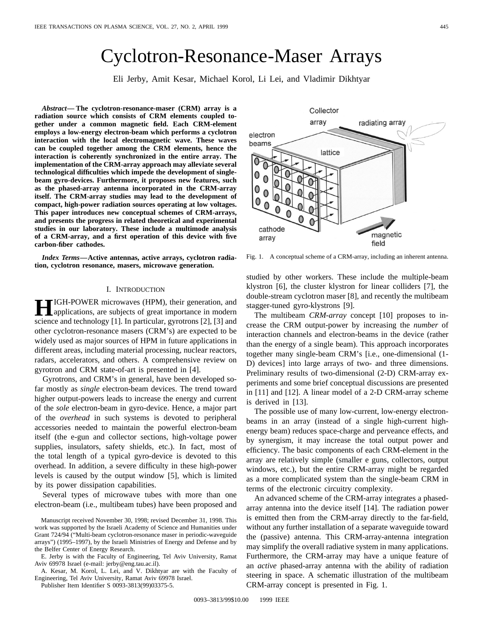# Cyclotron-Resonance-Maser Arrays

Eli Jerby, Amit Kesar, Michael Korol, Li Lei, and Vladimir Dikhtyar

*Abstract—* **The cyclotron-resonance-maser (CRM) array is a radiation source which consists of CRM elements coupled together under a common magnetic field. Each CRM-element employs a low-energy electron-beam which performs a cyclotron interaction with the local electromagnetic wave. These waves can be coupled together among the CRM elements, hence the interaction is coherently synchronized in the entire array. The implementation of the CRM-array approach may alleviate several technological difficulties which impede the development of singlebeam gyro-devices. Furthermore, it proposes new features, such as the phased-array antenna incorporated in the CRM-array itself. The CRM-array studies may lead to the development of compact, high-power radiation sources operating at low voltages. This paper introduces new conceptual schemes of CRM-arrays, and presents the progress in related theoretical and experimental studies in our laboratory. These include a multimode analysis of a CRM-array, and a first operation of this device with five carbon-fiber cathodes.**

*Index Terms—***Active antennas, active arrays, cyclotron radiation, cyclotron resonance, masers, microwave generation.**

## I. INTRODUCTION

**H**IGH-POWER microwaves (HPM), their generation, and applications, are subjects of great importance in modern science and technology [1]. In particular, gyrotrons [2], [3] and other cyclotron-resonance masers (CRM's) are expected to be widely used as major sources of HPM in future applications in different areas, including material processing, nuclear reactors, radars, accelerators, and others. A comprehensive review on gyrotron and CRM state-of-art is presented in [4].

Gyrotrons, and CRM's in general, have been developed sofar mostly as *single* electron-beam devices. The trend toward higher output-powers leads to increase the energy and current of the *sole* electron-beam in gyro-device. Hence, a major part of the *overhead* in such systems is devoted to peripheral accessories needed to maintain the powerful electron-beam itself (the e-gun and collector sections, high-voltage power supplies, insulators, safety shields, etc.). In fact, most of the total length of a typical gyro-device is devoted to this overhead. In addition, a severe difficulty in these high-power levels is caused by the output window [5], which is limited by its power dissipation capabilities.

Several types of microwave tubes with more than one electron-beam (i.e., multibeam tubes) have been proposed and

E. Jerby is with the Faculty of Engineering, Tel Aviv University, Ramat Aviv 69978 Israel (e-mail: jerby@eng.tau.ac.il).

A. Kesar, M. Korol, L. Lei, and V. Dikhtyar are with the Faculty of Engineering, Tel Aviv University, Ramat Aviv 69978 Israel.

Publisher Item Identifier S 0093-3813(99)03375-5.

array radiating array electron beams lattice  $\bigcirc$ 0 0  $\bf{0}$ cathode magnetic array field Fig. 1. A conceptual scheme of a CRM-array, including an inherent antenna.

studied by other workers. These include the multiple-beam klystron [6], the cluster klystron for linear colliders [7], the double-stream cyclotron maser [8], and recently the multibeam stagger-tuned gyro-klystrons [9].

The multibeam *CRM-array* concept [10] proposes to increase the CRM output-power by increasing the *number* of interaction channels and electron-beams in the device (rather than the energy of a single beam). This approach incorporates together many single-beam CRM's [i.e., one-dimensional (1- D) devices] into large arrays of two- and three dimensions. Preliminary results of two-dimensional (2-D) CRM-array experiments and some brief conceptual discussions are presented in [11] and [12]. A linear model of a 2-D CRM-array scheme is derived in [13].

The possible use of many low-current, low-energy electronbeams in an array (instead of a single high-current highenergy beam) reduces space-charge and perveance effects, and by synergism, it may increase the total output power and efficiency. The basic components of each CRM-element in the array are relatively simple (smaller e guns, collectors, output windows, etc.), but the entire CRM-array might be regarded as a more complicated system than the single-beam CRM in terms of the electronic circuitry complexity.

An advanced scheme of the CRM-array integrates a phasedarray antenna into the device itself [14]. The radiation power is emitted then from the CRM-array directly to the far-field, without any further installation of a separate waveguide toward the (passive) antenna. This CRM-array-antenna integration may simplify the overall radiative system in many applications. Furthermore, the CRM-array may have a unique feature of an *active* phased-array antenna with the ability of radiation steering in space. A schematic illustration of the multibeam CRM-array concept is presented in Fig. 1.



Manuscript received November 30, 1998; revised December 31, 1998. This work was supported by the Israeli Academy of Science and Humanities under Grant 724/94 ("Multi-beam cyclotron-resonance maser in periodic-waveguide arrays") (1995–1997), by the Israeli Ministries of Energy and Defense and by the Belfer Center of Energy Research.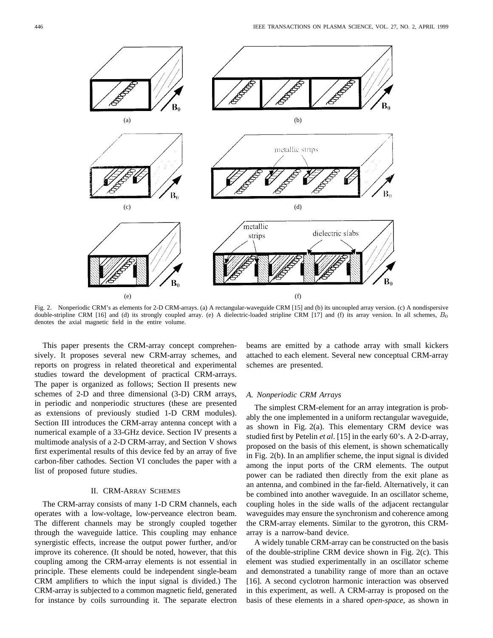

Fig. 2. Nonperiodic CRM's as elements for 2-D CRM-arrays. (a) A rectangular-waveguide CRM [15] and (b) its uncoupled array version. (c) A nondispersive double-stripline CRM [16] and (d) its strongly coupled array. (e) A dielectric-loaded stripline CRM [17] and (f) its array version. In all schemes,  $B_0$ denotes the axial magnetic field in the entire volume.

This paper presents the CRM-array concept comprehensively. It proposes several new CRM-array schemes, and reports on progress in related theoretical and experimental studies toward the development of practical CRM-arrays. The paper is organized as follows; Section II presents new schemes of 2-D and three dimensional (3-D) CRM arrays, in periodic and nonperiodic structures (these are presented as extensions of previously studied 1-D CRM modules). Section III introduces the CRM-array antenna concept with a numerical example of a 33-GHz device. Section IV presents a multimode analysis of a 2-D CRM-array, and Section V shows first experimental results of this device fed by an array of five carbon-fiber cathodes. Section VI concludes the paper with a list of proposed future studies.

## II. CRM-ARRAY SCHEMES

The CRM-array consists of many 1-D CRM channels, each operates with a low-voltage, low-perveance electron beam. The different channels may be strongly coupled together through the waveguide lattice. This coupling may enhance synergistic effects, increase the output power further, and/or improve its coherence. (It should be noted, however, that this coupling among the CRM-array elements is not essential in principle. These elements could be independent single-beam CRM amplifiers to which the input signal is divided.) The CRM-array is subjected to a common magnetic field, generated for instance by coils surrounding it. The separate electron

beams are emitted by a cathode array with small kickers attached to each element. Several new conceptual CRM-array schemes are presented.

### *A. Nonperiodic CRM Arrays*

The simplest CRM-element for an array integration is probably the one implemented in a uniform rectangular waveguide, as shown in Fig. 2(a). This elementary CRM device was studied first by Petelin *et al*. [15] in the early 60's. A 2-D-array, proposed on the basis of this element, is shown schematically in Fig. 2(b). In an amplifier scheme, the input signal is divided among the input ports of the CRM elements. The output power can be radiated then directly from the exit plane as an antenna, and combined in the far-field. Alternatively, it can be combined into another waveguide. In an oscillator scheme, coupling holes in the side walls of the adjacent rectangular waveguides may ensure the synchronism and coherence among the CRM-array elements. Similar to the gyrotron, this CRMarray is a narrow-band device.

A widely tunable CRM-array can be constructed on the basis of the double-stripline CRM device shown in Fig. 2(c). This element was studied experimentally in an oscillator scheme and demonstrated a tunability range of more than an octave [16]. A second cyclotron harmonic interaction was observed in this experiment, as well. A CRM-array is proposed on the basis of these elements in a shared *open-space*, as shown in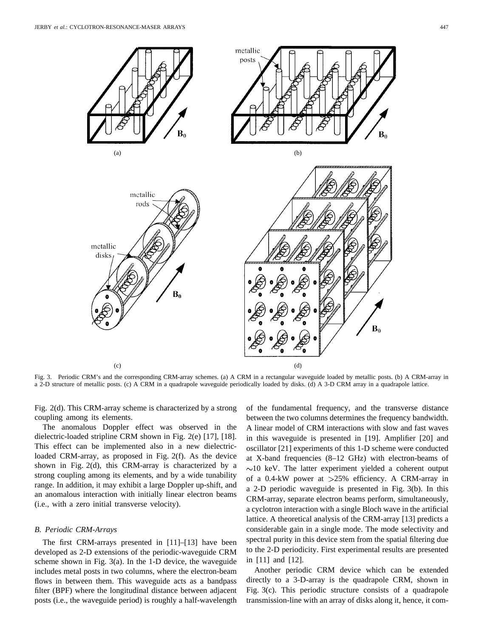![](_page_2_Figure_2.jpeg)

Fig. 3. Periodic CRM's and the corresponding CRM-array schemes. (a) A CRM in a rectangular waveguide loaded by metallic posts. (b) A CRM-array in a 2-D structure of metallic posts. (c) A CRM in a quadrapole waveguide periodically loaded by disks. (d) A 3-D CRM array in a quadrapole lattice.

Fig. 2(d). This CRM-array scheme is characterized by a strong coupling among its elements.

The anomalous Doppler effect was observed in the dielectric-loaded stripline CRM shown in Fig. 2(e) [17], [18]. This effect can be implemented also in a new dielectricloaded CRM-array, as proposed in Fig. 2(f). As the device shown in Fig. 2(d), this CRM-array is characterized by a strong coupling among its elements, and by a wide tunability range. In addition, it may exhibit a large Doppler up-shift, and an anomalous interaction with initially linear electron beams (i.e., with a zero initial transverse velocity).

## *B. Periodic CRM-Arrays*

The first CRM-arrays presented in [11]–[13] have been developed as 2-D extensions of the periodic-waveguide CRM scheme shown in Fig. 3(a). In the 1-D device, the waveguide includes metal posts in two columns, where the electron-beam flows in between them. This waveguide acts as a bandpass filter (BPF) where the longitudinal distance between adjacent posts (i.e., the waveguide period) is roughly a half-wavelength

of the fundamental frequency, and the transverse distance between the two columns determines the frequency bandwidth. A linear model of CRM interactions with slow and fast waves in this waveguide is presented in [19]. Amplifier [20] and oscillator [21] experiments of this 1-D scheme were conducted at X-band frequencies (8–12 GHz) with electron-beams of  $\sim$ 10 keV. The latter experiment yielded a coherent output of a 0.4-kW power at  $>25\%$  efficiency. A CRM-array in a 2-D periodic waveguide is presented in Fig. 3(b). In this CRM-array, separate electron beams perform, simultaneously, a cyclotron interaction with a single Bloch wave in the artificial lattice. A theoretical analysis of the CRM-array [13] predicts a considerable gain in a single mode. The mode selectivity and spectral purity in this device stem from the spatial filtering due to the 2-D periodicity. First experimental results are presented in [11] and [12].

Another periodic CRM device which can be extended directly to a 3-D-array is the quadrapole CRM, shown in Fig. 3(c). This periodic structure consists of a quadrapole transmission-line with an array of disks along it, hence, it com-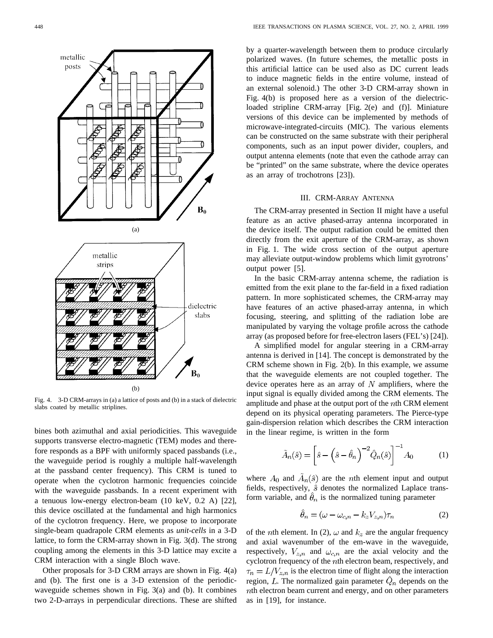![](_page_3_Figure_1.jpeg)

Fig. 4. 3-D CRM-arrays in (a) a lattice of posts and (b) in a stack of dielectric slabs coated by metallic striplines.

bines both azimuthal and axial periodicities. This waveguide supports transverse electro-magnetic (TEM) modes and therefore responds as a BPF with uniformly spaced passbands (i.e., the waveguide period is roughly a multiple half-wavelength at the passband center frequency). This CRM is tuned to operate when the cyclotron harmonic frequencies coincide with the waveguide passbands. In a recent experiment with a tenuous low-energy electron-beam (10 keV, 0.2 A) [22], this device oscillated at the fundamental and high harmonics of the cyclotron frequency. Here, we propose to incorporate single-beam quadrapole CRM elements as *unit-cells* in a 3-D lattice, to form the CRM-array shown in Fig. 3(d). The strong coupling among the elements in this 3-D lattice may excite a CRM interaction with a single Bloch wave.

Other proposals for 3-D CRM arrays are shown in Fig. 4(a) and (b). The first one is a 3-D extension of the periodicwaveguide schemes shown in Fig. 3(a) and (b). It combines two 2-D-arrays in perpendicular directions. These are shifted by a quarter-wavelength between them to produce circularly polarized waves. (In future schemes, the metallic posts in this artificial lattice can be used also as DC current leads to induce magnetic fields in the entire volume, instead of an external solenoid.) The other 3-D CRM-array shown in Fig. 4(b) is proposed here as a version of the dielectricloaded stripline CRM-array [Fig. 2(e) and (f)]. Miniature versions of this device can be implemented by methods of microwave-integrated-circuits (MIC). The various elements can be constructed on the same substrate with their peripheral components, such as an input power divider, couplers, and output antenna elements (note that even the cathode array can be "printed" on the same substrate, where the device operates as an array of trochotrons [23]).

## III. CRM-ARRAY ANTENNA

The CRM-array presented in Section II might have a useful feature as an active phased-array antenna incorporated in the device itself. The output radiation could be emitted then directly from the exit aperture of the CRM-array, as shown in Fig. 1. The wide cross section of the output aperture may alleviate output-window problems which limit gyrotrons' output power [5].

In the basic CRM-array antenna scheme, the radiation is emitted from the exit plane to the far-field in a fixed radiation pattern. In more sophisticated schemes, the CRM-array may have features of an active phased-array antenna, in which focusing, steering, and splitting of the radiation lobe are manipulated by varying the voltage profile across the cathode array (as proposed before for free-electron lasers (FEL's) [24]).

A simplified model for angular steering in a CRM-array antenna is derived in [14]. The concept is demonstrated by the CRM scheme shown in Fig. 2(b). In this example, we assume that the waveguide elements are not coupled together. The device operates here as an array of  $N$  amplifiers, where the input signal is equally divided among the CRM elements. The amplitude and phase at the output port of the  $n$ th CRM element depend on its physical operating parameters. The Pierce-type gain-dispersion relation which describes the CRM interaction in the linear regime, is written in the form

$$
\tilde{A}_n(\hat{s}) = \left[\hat{s} - \left(\hat{s} - \hat{\theta}_n\right)^{-2} \hat{Q}_n(\hat{s})\right]^{-1} A_0 \tag{1}
$$

where  $A_0$  and  $\tilde{A}_n(\hat{s})$  are the *n*th element input and output fields, respectively,  $\hat{s}$  denotes the normalized Laplace transform variable, and  $\hat{\theta}_n$  is the normalized tuning parameter

$$
\theta_n = (\omega - \omega_{c,n} - k_z V_{z,n})\tau_n \tag{2}
$$

of the *n*th element. In (2),  $\omega$  and  $k_z$  are the angular frequency and axial wavenumber of the em-wave in the waveguide, respectively,  $V_{z,n}$  and  $\omega_{c,n}$  are the axial velocity and the cyclotron frequency of the nth electron beam, respectively, and  $\tau_n = L/V_{z,n}$  is the electron time of flight along the interaction region, L. The normalized gain parameter  $\hat{Q}_n$  depends on the  $n$ th electron beam current and energy, and on other parameters as in [19], for instance.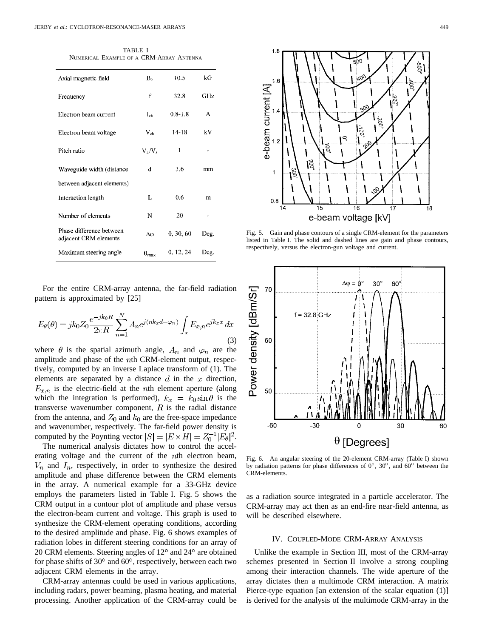TABLE I NUMERICAL EXAMPLE OF A CRM-ARRAY ANTENNA

| Axial magnetic field                              | $\mathbf{B}_0$        | 10.5        | kG   |
|---------------------------------------------------|-----------------------|-------------|------|
| Frequency                                         | f                     | 32.8        | GHz  |
| Electron beam current                             | $I_{eb}$              | $0.8 - 1.8$ | А    |
| Electron beam voltage                             | $V_{eh}$              | $14 - 18$   | kV   |
| Pitch ratio                                       | $V_1/V_2$             | 1           |      |
| Waveguide width (distance                         | d                     | 3.6         | mm   |
| between adjacent elements)                        |                       |             |      |
| Interaction length                                | L                     | 0.6         | m    |
| Number of elements                                | N                     | 20          |      |
| Phase difference between<br>adjacent CRM elements | Δφ                    | 0, 30, 60   | Deg. |
| Maximum steering angle                            | $\theta_{\text{max}}$ | 0, 12, 24   | Deg. |

For the entire CRM-array antenna, the far-field radiation pattern is approximated by [25]

$$
E_{\theta}(\theta) = jk_0 Z_0 \frac{e^{-jk_0 R}}{2\pi R} \sum_{n=1}^{N} A_n e^{j(nk_x d - \varphi_n)} \int_x E_{x,n} e^{jk_x x} dx
$$
\n(3)

where  $\theta$  is the spatial azimuth angle,  $A_n$  and  $\varphi_n$  are the amplitude and phase of the  $n$ th CRM-element output, respectively, computed by an inverse Laplace transform of (1). The elements are separated by a distance  $d$  in the  $x$  direction,  $E_{x,n}$  is the electric-field at the *n*th element aperture (along which the integration is performed),  $k_x = k_0 \sin \theta$  is the transverse wavenumber component,  $R$  is the radial distance from the antenna, and  $Z_0$  and  $k_0$  are the free-space impedance and wavenumber, respectively. The far-field power density is computed by the Poynting vector  $|S| = |E \times H| = Z_0^{-1} |E_\theta|^2$ .

The numerical analysis dictates how to control the accelerating voltage and the current of the  $n$ th electron beam,  $V_n$  and  $I_n$ , respectively, in order to synthesize the desired amplitude and phase difference between the CRM elements in the array. A numerical example for a 33-GHz device employs the parameters listed in Table I. Fig. 5 shows the CRM output in a contour plot of amplitude and phase versus the electron-beam current and voltage. This graph is used to synthesize the CRM-element operating conditions, according to the desired amplitude and phase. Fig. 6 shows examples of radiation lobes in different steering conditions for an array of 20 CRM elements. Steering angles of  $12^{\circ}$  and  $24^{\circ}$  are obtained for phase shifts of  $30^{\circ}$  and  $60^{\circ}$ , respectively, between each two adjacent CRM elements in the array.

CRM-array antennas could be used in various applications, including radars, power beaming, plasma heating, and material processing. Another application of the CRM-array could be

![](_page_4_Figure_8.jpeg)

e-beam current [A]

 $\overline{1}$ 

 $0.8$ 

14

 $\overline{15}$ 16  $\overline{17}$ e-beam voltage [kV]

Fig. 5. Gain and phase contours of a single CRM-element for the parameters listed in Table I. The solid and dashed lines are gain and phase contours, respectively, versus the electron-gun voltage and current.

![](_page_4_Figure_11.jpeg)

Fig. 6. An angular steering of the 20-element CRM-array (Table I) shown by radiation patterns for phase differences of  $0^\circ$ ,  $30^\circ$ , and  $60^\circ$  between the CRM-elements.

as a radiation source integrated in a particle accelerator. The CRM-array may act then as an end-fire near-field antenna, as will be described elsewhere.

## IV. COUPLED-MODE CRM-ARRAY ANALYSIS

Unlike the example in Section III, most of the CRM-array schemes presented in Section II involve a strong coupling among their interaction channels. The wide aperture of the array dictates then a multimode CRM interaction. A matrix Pierce-type equation [an extension of the scalar equation (1)] is derived for the analysis of the multimode CRM-array in the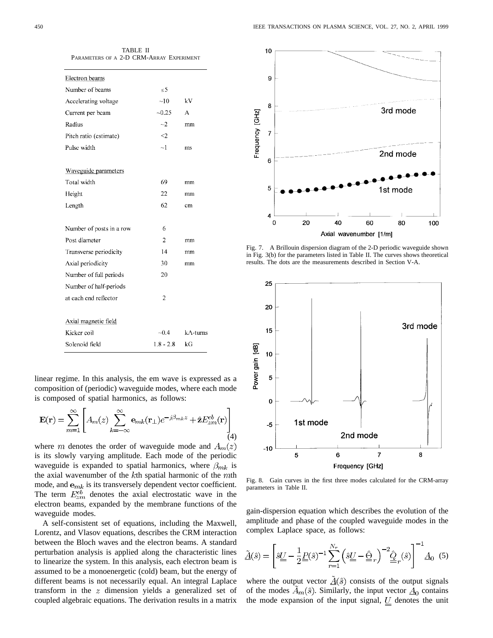| <b>TABLE II</b>                          |
|------------------------------------------|
| PARAMETERS OF A 2-D CRM-ARRAY EXPERIMENT |
|                                          |

| Electron beams           |                |                      |
|--------------------------|----------------|----------------------|
| Number of beams          | $\leq$ 5       |                      |
| Accelerating voltage     | ~10            | kV                   |
| Current per beam         | $-0.25$        | A                    |
| Radius                   | $\sim$ 2       | mm                   |
| Pitch ratio (estimate)   | $\leq$         |                      |
| Pulse width              | $\sim$ 1       | ms                   |
|                          |                |                      |
| Waveguide parameters     |                |                      |
| Total width              | 69             | mm                   |
| Height                   | 22             | mm                   |
| Length                   | 62             | cm                   |
|                          |                |                      |
| Number of posts in a row | 6              |                      |
| Post diameter            | $\overline{c}$ | mm                   |
| Transverse periodicity   | 14             | mm                   |
| Axial periodicity        | 30             | mm                   |
| Number of full periods   | 20             |                      |
| Number of half-periods   |                |                      |
| at each end reflector    | $\overline{2}$ |                      |
|                          |                |                      |
| Axial magnetic field     |                |                      |
| Kicker coil              | $-0.4$         | $k$ $\Lambda$ -turns |
| Solenoid field           | $1.8 - 2.8$    | kG                   |
|                          |                |                      |

linear regime. In this analysis, the em wave is expressed as a composition of (periodic) waveguide modes, where each mode is composed of spatial harmonics, as follows:

$$
\mathbf{E}(\mathbf{r}) = \sum_{m=1}^{\infty} \left[ A_m(z) \sum_{k=-\infty}^{\infty} \mathbf{e}_{mk}(\mathbf{r}_{\perp}) e^{-j\beta_{mk}z} + \hat{\mathbf{z}} E_{zm}^{eb}(\mathbf{r}) \right] \tag{4}
$$

where m denotes the order of waveguide mode and  $A_m(z)$ is its slowly varying amplitude. Each mode of the periodic waveguide is expanded to spatial harmonics, where  $\beta_{mk}$  is the axial wavenumber of the  $k$ th spatial harmonic of the  $m$ th mode, and  $e_{mk}$  is its transversely dependent vector coefficient. The term  $E_{zm}^{eb}$  denotes the axial electrostatic wave in the electron beams, expanded by the membrane functions of the waveguide modes.

A self-consistent set of equations, including the Maxwell, Lorentz, and Vlasov equations, describes the CRM interaction between the Bloch waves and the electron beams. A standard perturbation analysis is applied along the characteristic lines to linearize the system. In this analysis, each electron beam is assumed to be a monoenergetic (cold) beam, but the energy of different beams is not necessarily equal. An integral Laplace transform in the  $z$  dimension yields a generalized set of coupled algebraic equations. The derivation results in a matrix

![](_page_5_Figure_7.jpeg)

Fig. 7. A Brillouin dispersion diagram of the 2-D periodic waveguide shown in Fig. 3(b) for the parameters listed in Table II. The curves shows theoretical results. The dots are the measurements described in Section V-A.

![](_page_5_Figure_9.jpeg)

Fig. 8. Gain curves in the first three modes calculated for the CRM-array parameters in Table II.

gain-dispersion equation which describes the evolution of the amplitude and phase of the coupled waveguide modes in the complex Laplace space, as follows:

$$
\tilde{\underline{A}}(\hat{s}) = \left[\hat{s}\underline{\underline{U}} - \frac{1}{2}\underline{\underline{P}}(\hat{s})^{-1}\sum_{r=1}^{N_r} \left(\hat{s}\underline{\underline{U}} - \hat{\underline{\Theta}}_r\right)^{-2} \hat{\underline{\underline{Q}}}_r(\hat{s})\right]^{-1} \underline{\underline{A}}_0 \tag{5}
$$

where the output vector  $\underline{\tilde{A}}(\hat{s})$  consists of the output signals of the modes  $A_m(\hat{s})$ . Similarly, the input vector  $\underline{A}_0$  contains the mode expansion of the input signal,  $U$  denotes the unit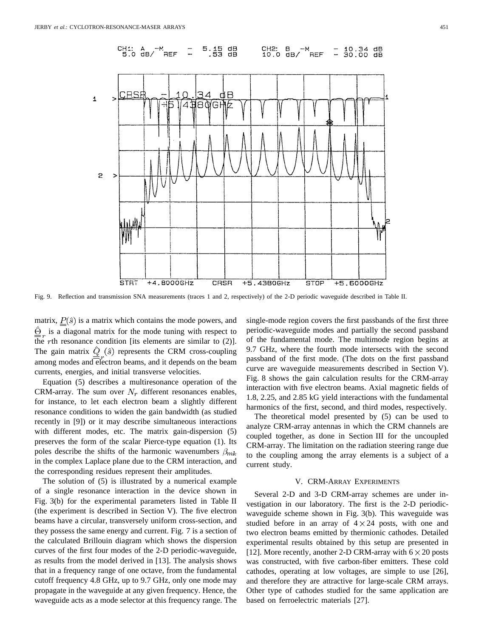![](_page_6_Figure_1.jpeg)

Fig. 9. Reflection and transmission SNA measurements (traces 1 and 2, respectively) of the 2-D periodic waveguide described in Table II.

matrix,  $\underline{P}(\hat{s})$  is a matrix which contains the mode powers, and  $\hat{\Theta}_n$  is a diagonal matrix for the mode tuning with respect to the rth resonance condition [its elements are similar to  $(2)$ ]. The gain matrix  $\hat{Q}_r(\hat{s})$  represents the CRM cross-coupling among modes and electron beams, and it depends on the beam currents, energies, and initial transverse velocities.

Equation (5) describes a multiresonance operation of the CRM-array. The sum over  $N_r$  different resonances enables, for instance, to let each electron beam a slightly different resonance conditions to widen the gain bandwidth (as studied recently in [9]) or it may describe simultaneous interactions with different modes, etc. The matrix gain-dispersion (5) preserves the form of the scalar Pierce-type equation (1). Its poles describe the shifts of the harmonic wavenumbers  $\beta_{mk}$ in the complex Laplace plane due to the CRM interaction, and the corresponding residues represent their amplitudes.

The solution of (5) is illustrated by a numerical example of a single resonance interaction in the device shown in Fig. 3(b) for the experimental parameters listed in Table II (the experiment is described in Section V). The five electron beams have a circular, transversely uniform cross-section, and they possess the same energy and current. Fig. 7 is a section of the calculated Brillouin diagram which shows the dispersion curves of the first four modes of the 2-D periodic-waveguide, as results from the model derived in [13]. The analysis shows that in a frequency range of one octave, from the fundamental cutoff frequency 4.8 GHz, up to 9.7 GHz, only one mode may propagate in the waveguide at any given frequency. Hence, the waveguide acts as a mode selector at this frequency range. The

single-mode region covers the first passbands of the first three periodic-waveguide modes and partially the second passband of the fundamental mode. The multimode region begins at 9.7 GHz, where the fourth mode intersects with the second passband of the first mode. (The dots on the first passband curve are waveguide measurements described in Section V). Fig. 8 shows the gain calculation results for the CRM-array interaction with five electron beams. Axial magnetic fields of 1.8, 2.25, and 2.85 kG yield interactions with the fundamental harmonics of the first, second, and third modes, respectively.

The theoretical model presented by (5) can be used to analyze CRM-array antennas in which the CRM channels are coupled together, as done in Section III for the uncoupled CRM-array. The limitation on the radiation steering range due to the coupling among the array elements is a subject of a current study.

# V. CRM-ARRAY EXPERIMENTS

Several 2-D and 3-D CRM-array schemes are under investigation in our laboratory. The first is the 2-D periodicwaveguide scheme shown in Fig. 3(b). This waveguide was studied before in an array of  $4 \times 24$  posts, with one and two electron beams emitted by thermionic cathodes. Detailed experimental results obtained by this setup are presented in [12]. More recently, another 2-D CRM-array with  $6 \times 20$  posts was constructed, with five carbon-fiber emitters. These cold cathodes, operating at low voltages, are simple to use [26], and therefore they are attractive for large-scale CRM arrays. Other type of cathodes studied for the same application are based on ferroelectric materials [27].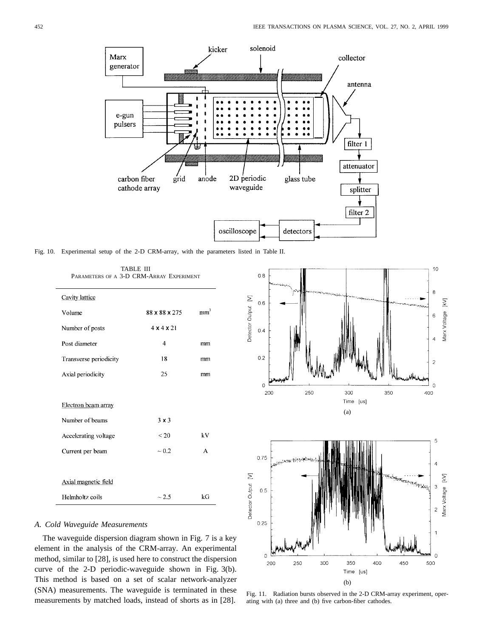![](_page_7_Figure_1.jpeg)

Fig. 10. Experimental setup of the 2-D CRM-array, with the parameters listed in Table II.

| PARAMETERS OF A 3-D CRM-ARRAY EXPERIMENT |                        |                 |  |  |  |
|------------------------------------------|------------------------|-----------------|--|--|--|
| Cavity lattice                           |                        |                 |  |  |  |
| Volume                                   | 88 x 88 x 275          | mm <sup>3</sup> |  |  |  |
| Number of posts                          | $4 \times 4 \times 21$ |                 |  |  |  |
| Post diameter                            | 4                      | mm              |  |  |  |
| Transverse periodicity                   | 18                     | mm              |  |  |  |
| Axial periodicity                        | 25                     | mm              |  |  |  |
|                                          |                        |                 |  |  |  |
| Electron beam array                      |                        |                 |  |  |  |
| Number of beams                          | $3 \times 3$           |                 |  |  |  |
| Accelerating voltage                     | ${}_{&}<$ 20           | kV              |  |  |  |
| Current per beam                         | $\sim 0.2$             | A               |  |  |  |
|                                          |                        |                 |  |  |  |
| Axial magnetic field                     |                        |                 |  |  |  |
| Helmholtz coils                          | $\sim$ 2.5             | kG              |  |  |  |

TABLE III PARAMETERS OF A 3-D CRM-ARRAY EXPERIMENT

# *A. Cold Waveguide Measurements*

The waveguide dispersion diagram shown in Fig. 7 is a key element in the analysis of the CRM-array. An experimental method, similar to [28], is used here to construct the dispersion curve of the 2-D periodic-waveguide shown in Fig. 3(b). This method is based on a set of scalar network-analyzer (SNA) measurements. The waveguide is terminated in these measurements by matched loads, instead of shorts as in [28].

![](_page_7_Figure_7.jpeg)

![](_page_7_Figure_8.jpeg)

Fig. 11. Radiation bursts observed in the 2-D CRM-array experiment, operating with (a) three and (b) five carbon-fiber cathodes.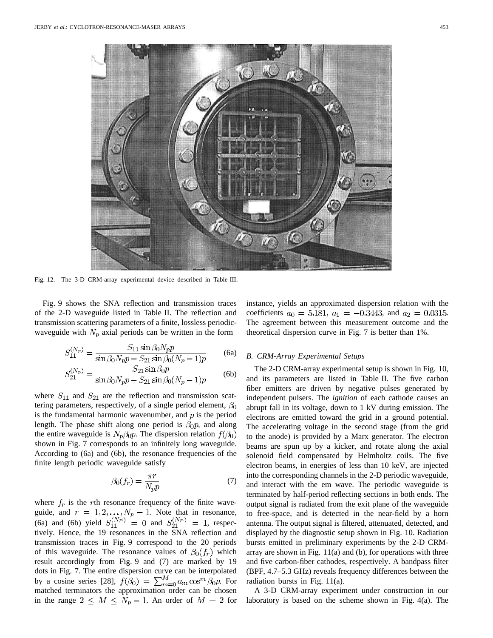![](_page_8_Picture_1.jpeg)

Fig. 12. The 3-D CRM-array experimental device described in Table III.

Fig. 9 shows the SNA reflection and transmission traces of the 2-D waveguide listed in Table II. The reflection and transmission scattering parameters of a finite, lossless periodicwaveguide with  $N_p$  axial periods can be written in the form

$$
S_{11}^{(N_p)} = \frac{S_{11} \sin \beta_0 N_p p}{\sin \beta_0 N_p p - S_{21} \sin \beta_0 (N_p - 1)p}
$$
 (6a)

$$
S_{21}^{(N_p)} = \frac{S_{21}\sin\beta_0 p}{\sin\beta_0 N_p p - S_{21}\sin\beta_0 (N_p - 1)p}
$$
 (6b)

where  $S_{11}$  and  $S_{21}$  are the reflection and transmission scattering parameters, respectively, of a single period element,  $\beta_0$ is the fundamental harmonic wavenumber, and  $p$  is the period length. The phase shift along one period is  $\beta_0 p$ , and along the entire waveguide is  $N_p \beta_0 p$ . The dispersion relation  $f(\beta_0)$ shown in Fig. 7 corresponds to an infinitely long waveguide. According to (6a) and (6b), the resonance frequencies of the finite length periodic waveguide satisfy

$$
\beta_0(f_r) = \frac{\pi r}{N_p p} \tag{7}
$$

where  $f_r$  is the rth resonance frequency of the finite waveguide, and  $r = 1, 2, ..., N_p - 1$ . Note that in resonance, (6a) and (6b) yield  $S_{11}^{(N_P)} = 0$  and  $S_{21}^{(N_P)} = 1$ , respectively. Hence, the 19 resonances in the SNA reflection and transmission traces in Fig. 9 correspond to the 20 periods of this waveguide. The resonance values of  $\beta_0(f_r)$  which result accordingly from Fig. 9 and (7) are marked by 19 dots in Fig. 7. The entire dispersion curve can be interpolated by a cosine series [28],  $f(\beta_0) = \sum_{m=0}^{M} a_m \cos^m \beta_0 p$ . For matched terminators the approximation order can be chosen in the range  $2 \leq M \leq N_p - 1$ . An order of  $M = 2$  for

instance, yields an approximated dispersion relation with the coefficients  $a_0 = 5.181$ ,  $a_1 = -0.3443$ , and  $a_2 = 0.0315$ . The agreement between this measurement outcome and the theoretical dispersion curve in Fig. 7 is better than 1%.

#### *B. CRM-Array Experimental Setups*

The 2-D CRM-array experimental setup is shown in Fig. 10, and its parameters are listed in Table II. The five carbon fiber emitters are driven by negative pulses generated by independent pulsers. The *ignition* of each cathode causes an abrupt fall in its voltage, down to 1 kV during emission. The electrons are emitted toward the grid in a ground potential. The accelerating voltage in the second stage (from the grid to the anode) is provided by a Marx generator. The electron beams are spun up by a kicker, and rotate along the axial solenoid field compensated by Helmholtz coils. The five electron beams, in energies of less than 10 keV, are injected into the corresponding channels in the 2-D periodic waveguide, and interact with the em wave. The periodic waveguide is terminated by half-period reflecting sections in both ends. The output signal is radiated from the exit plane of the waveguide to free-space, and is detected in the near-field by a horn antenna. The output signal is filtered, attenuated, detected, and displayed by the diagnostic setup shown in Fig. 10. Radiation bursts emitted in preliminary experiments by the 2-D CRMarray are shown in Fig.  $11(a)$  and (b), for operations with three and five carbon-fiber cathodes, respectively. A bandpass filter (BPF, 4.7–5.3 GHz) reveals frequency differences between the radiation bursts in Fig. 11(a).

A 3-D CRM-array experiment under construction in our laboratory is based on the scheme shown in Fig. 4(a). The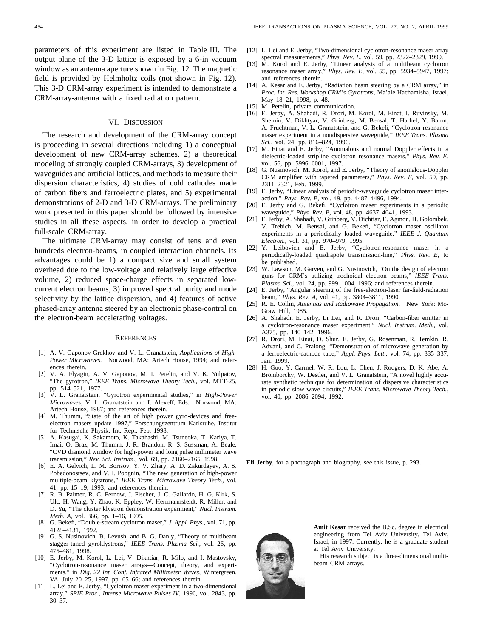parameters of this experiment are listed in Table III. The output plane of the 3-D lattice is exposed by a 6-in vacuum window as an antenna aperture shown in Fig. 12. The magnetic field is provided by Helmholtz coils (not shown in Fig. 12). This 3-D CRM-array experiment is intended to demonstrate a CRM-array-antenna with a fixed radiation pattern.

#### VI. DISCUSSION

The research and development of the CRM-array concept is proceeding in several directions including 1) a conceptual development of new CRM-array schemes, 2) a theoretical modeling of strongly coupled CRM-arrays, 3) development of waveguides and artificial lattices, and methods to measure their dispersion characteristics, 4) studies of cold cathodes made of carbon fibers and ferroelectric plates, and 5) experimental demonstrations of 2-D and 3-D CRM-arrays. The preliminary work presented in this paper should be followed by intensive studies in all these aspects, in order to develop a practical full-scale CRM-array.

The ultimate CRM-array may consist of tens and even hundreds electron-beams, in coupled interaction channels. Its advantages could be 1) a compact size and small system overhead due to the low-voltage and relatively large effective volume, 2) reduced space-charge effects in separated lowcurrent electron beams, 3) improved spectral purity and mode selectivity by the lattice dispersion, and 4) features of active phased-array antenna steered by an electronic phase-control on the electron-beam accelerating voltages.

#### **REFERENCES**

- [1] A. V. Gaponov-Grekhov and V. L. Granatstein, *Applications of High-Power Microwaves*. Norwood, MA: Artech House, 1994; and references therein.
- [2] V. A. Flyagin, A. V. Gaponov, M. I. Petelin, and V. K. Yulpatov, "The gyrotron," *IEEE Trans. Microwave Theory Tech.*, vol. MTT-25, pp. 514–521, 1977.
- [3] V. L. Granatstein, "Gyrotron experimental studies," in *High-Power Microwaves*, V. L. Granatstein and I. Alexeff, Eds. Norwood, MA: Artech House, 1987; and references therein.
- [4] M. Thumm, "State of the art of high power gyro-devices and freeelectron masers update 1997," Forschungszentrum Karlsruhe, Institut fur Technische Physik, Int. Rep., Feb. 1998.
- [5] A. Kasugai, K. Sakamoto, K. Takahashi, M. Tsuneoka, T. Kariya, T. Imai, O. Braz, M. Thumm, J. R. Brandon, R. S. Sussman, A. Beale, "CVD diamond window for high-power and long pulse millimeter wave transmission," *Rev. Sci. Instrum.*, vol. 69, pp. 2160–2165, 1998.
- [6] E. A. Gelvich, L. M. Borisov, Y. V. Zhary, A. D. Zakurdayev, A. S. Pobedonostsev, and V. I. Poognin, "The new generation of high-power multiple-beam klystrons," *IEEE Trans. Microwave Theory Tech.*, vol. 41, pp. 15–19, 1993; and references therein.
- [7] R. B. Palmer, R. C. Fernow, J. Fischer, J. C. Gallardo, H. G. Kirk, S. Ulc, H. Wang, Y. Zhao, K. Eppley, W. Herrmannsfeldt, R. Miller, and D. Yu, "The cluster klystron demonstration experiment," *Nucl. Instrum. Meth. A*, vol. 366, pp. 1–16, 1995.
- [8] G. Bekefi, "Double-stream cyclotron maser," *J. Appl. Phys.*, vol. 71, pp. 4128–4131, 1992.
- [9] G. S. Nusinovich, B. Levush, and B. G. Danly, "Theory of multibeam stagger-tuned gyroklystrons," *IEEE Trans. Plasma Sci.*, vol. 26, pp. 475–481, 1998.
- [10] E. Jerby, M. Korol, L. Lei, V. Dikhtiar, R. Milo, and I. Mastovsky, "Cyclotron-resonance maser arrays—Concept, theory, and experiments," in *Dig. 22 Int. Conf. Infrared Millimeter Waves*, Wintergreen, VA, July 20–25, 1997, pp. 65–66; and references therein.
- [11] L. Lei and E. Jerby, "Cyclotron maser experiment in a two-dimensional array," *SPIE Proc., Intense Microwave Pulses IV*, 1996, vol. 2843, pp. 30–37.
- [13] M. Korol and E. Jerby, "Linear analysis of a multibeam cyclotron resonance maser array," *Phys. Rev. E*, vol. 55, pp. 5934–5947, 1997; and references therein.
- [14] A. Kesar and E. Jerby, "Radiation beam steering by a CRM array," in *Proc. Int. Res. Workshop CRM's Gyrotrons*, Ma'ale Hachamisha, Israel, May 18–21, 1998, p. 48.
- [15] M. Petelin, private communication.
- [16] E. Jerby, A. Shahadi, R. Drori, M. Korol, M. Einat, I. Ruvinsky, M. Sheinin, V. Dikhtyar, V. Grinberg, M. Bensal, T. Harhel, Y. Baron, A. Fruchtman, V. L. Granatstein, and G. Bekefi, "Cyclotron resonance maser experiment in a nondispersive waveguide," *IEEE Trans. Plasma Sci.*, vol. 24, pp. 816–824, 1996.
- [17] M. Einat and E. Jerby, "Anomalous and normal Doppler effects in a dielectric-loaded stripline cyclotron resonance masers," *Phys. Rev. E*, vol. 56, pp. 5996-6001, 1997.
- [18] G. Nusinovich, M. Korol, and E. Jerby, "Theory of anomalous-Doppler CRM amplifier with tapered parameters," *Phys. Rev. E*, vol. 59, pp. 2311–2321, Feb. 1999.
- [19] E. Jerby, "Linear analysis of periodic-waveguide cyclotron maser interaction," *Phys. Rev. E*, vol. 49, pp. 4487–4496, 1994.
- [20] E. Jerby and G. Bekefi, "Cyclotron maser experiments in a periodic waveguide," *Phys. Rev. E*, vol. 48, pp. 4637–4641, 1993.
- [21] E. Jerby, A. Shahadi, V. Grinberg, V. Dichtiar, E. Agmon, H. Golombek, V. Trebich, M. Bensal, and G. Bekefi, "Cyclotron maser oscillator experiments in a periodically loaded waveguide," *IEEE J. Quantum Electron.*, vol. 31, pp. 970–979, 1995.
- [22] Y. Leibovich and E. Jerby, "Cyclotron-resonance maser in a periodically-loaded quadrapole transmission-line," *Phys. Rev. E*, to be published.
- [23] W. Lawson, M. Garven, and G. Nusinovich, "On the design of electron guns for CRM's utilizing trochoidal electron beams," *IEEE Trans. Plasma Sci.*, vol. 24, pp. 999–1004, 1996; and references therein.
- [24] E. Jerby, "Angular steering of the free-electron-laser far-field-radiation beam," *Phys. Rev. A*, vol. 41, pp. 3804–3811, 1990.
- [25] R. E. Collin, *Antennas and Radiowave Propagation*. New York: Mc-Graw Hill, 1985.
- [26] A. Shahadi, E. Jerby, Li Lei, and R. Drori, "Carbon-fiber emitter in a cyclotron-resonance maser experiment," *Nucl. Instrum. Meth.*, vol. A375, pp. 140–142, 1996.
- [27] R. Drori, M. Einat, D. Shur, E. Jerby, G. Rosenman, R. Temkin, R. Advani, and C. Pralong, "Demonstration of microwave generation by a ferroelectric-cathode tube," *Appl. Phys. Lett.*, vol. 74, pp. 335–337, Jan. 1999.
- [28] H. Guo, Y. Carmel, W. R. Lou, L. Chen, J. Rodgers, D. K. Abe, A. Bromborcky, W. Destler, and V. L. Granatstein, "A novel highly accurate synthetic technique for determination of dispersive characteristics in periodic slow wave circuits," *IEEE Trans. Microwave Theory Tech.*, vol. 40, pp. 2086–2094, 1992.

**Eli Jerby**, for a photograph and biography, see this issue, p. 293.

![](_page_9_Picture_35.jpeg)

**Amit Kesar** received the B.Sc. degree in electrical engineering from Tel Aviv University, Tel Aviv, Israel, in 1997. Currently, he is a graduate student at Tel Aviv University.

His research subject is a three-dimensional multibeam CRM arrays.